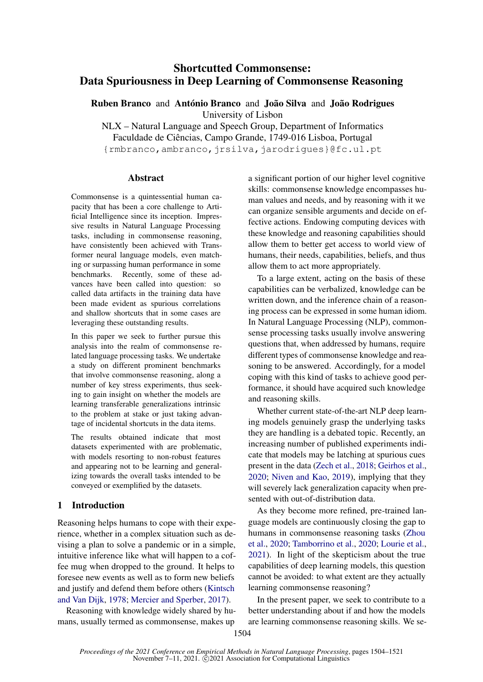# Shortcutted Commonsense: Data Spuriousness in Deep Learning of Commonsense Reasoning

Ruben Branco and António Branco and João Silva and João Rodrigues University of Lisbon

NLX – Natural Language and Speech Group, Department of Informatics Faculdade de Ciências, Campo Grande, 1749-016 Lisboa, Portugal {rmbranco,ambranco,jrsilva,jarodrigues}@fc.ul.pt

# **Abstract**

Commonsense is a quintessential human capacity that has been a core challenge to Artificial Intelligence since its inception. Impressive results in Natural Language Processing tasks, including in commonsense reasoning, have consistently been achieved with Transformer neural language models, even matching or surpassing human performance in some benchmarks. Recently, some of these advances have been called into question: so called data artifacts in the training data have been made evident as spurious correlations and shallow shortcuts that in some cases are leveraging these outstanding results.

In this paper we seek to further pursue this analysis into the realm of commonsense related language processing tasks. We undertake a study on different prominent benchmarks that involve commonsense reasoning, along a number of key stress experiments, thus seeking to gain insight on whether the models are learning transferable generalizations intrinsic to the problem at stake or just taking advantage of incidental shortcuts in the data items.

The results obtained indicate that most datasets experimented with are problematic, with models resorting to non-robust features and appearing not to be learning and generalizing towards the overall tasks intended to be conveyed or exemplified by the datasets.

# 1 Introduction

Reasoning helps humans to cope with their experience, whether in a complex situation such as devising a plan to solve a pandemic or in a simple, intuitive inference like what will happen to a coffee mug when dropped to the ground. It helps to foresee new events as well as to form new beliefs and justify and defend them before others [\(Kintsch](#page-10-0) [and Van Dijk,](#page-10-0) [1978;](#page-10-0) [Mercier and Sperber,](#page-10-1) [2017\)](#page-10-1).

Reasoning with knowledge widely shared by humans, usually termed as commonsense, makes up

a significant portion of our higher level cognitive skills: commonsense knowledge encompasses human values and needs, and by reasoning with it we can organize sensible arguments and decide on effective actions. Endowing computing devices with these knowledge and reasoning capabilities should allow them to better get access to world view of humans, their needs, capabilities, beliefs, and thus allow them to act more appropriately.

To a large extent, acting on the basis of these capabilities can be verbalized, knowledge can be written down, and the inference chain of a reasoning process can be expressed in some human idiom. In Natural Language Processing (NLP), commonsense processing tasks usually involve answering questions that, when addressed by humans, require different types of commonsense knowledge and reasoning to be answered. Accordingly, for a model coping with this kind of tasks to achieve good performance, it should have acquired such knowledge and reasoning skills.

Whether current state-of-the-art NLP deep learning models genuinely grasp the underlying tasks they are handling is a debated topic. Recently, an increasing number of published experiments indicate that models may be latching at spurious cues present in the data [\(Zech et al.,](#page-11-0) [2018;](#page-11-0) [Geirhos et al.,](#page-9-0) [2020;](#page-9-0) [Niven and Kao,](#page-10-2) [2019\)](#page-10-2), implying that they will severely lack generalization capacity when presented with out-of-distribution data.

As they become more refined, pre-trained language models are continuously closing the gap to humans in commonsense reasoning tasks [\(Zhou](#page-11-1) [et al.,](#page-11-1) [2020;](#page-11-1) [Tamborrino et al.,](#page-11-2) [2020;](#page-11-2) [Lourie et al.,](#page-10-3) [2021\)](#page-10-3). In light of the skepticism about the true capabilities of deep learning models, this question cannot be avoided: to what extent are they actually learning commonsense reasoning?

In the present paper, we seek to contribute to a better understanding about if and how the models are learning commonsense reasoning skills. We se-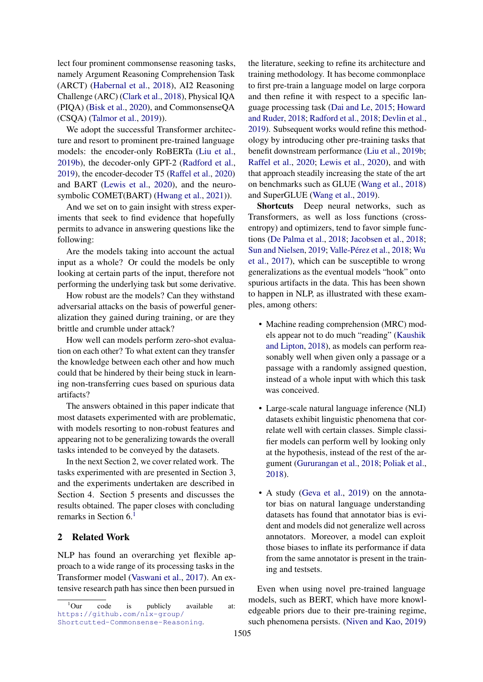lect four prominent commonsense reasoning tasks, namely Argument Reasoning Comprehension Task (ARCT) [\(Habernal et al.,](#page-9-1) [2018\)](#page-9-1), AI2 Reasoning Challenge (ARC) [\(Clark et al.,](#page-9-2) [2018\)](#page-9-2), Physical IQA (PIQA) [\(Bisk et al.,](#page-9-3) [2020\)](#page-9-3), and CommonsenseQA (CSQA) [\(Talmor et al.,](#page-11-3) [2019\)](#page-11-3)).

We adopt the successful Transformer architecture and resort to prominent pre-trained language models: the encoder-only RoBERTa [\(Liu et al.,](#page-10-4) [2019b\)](#page-10-4), the decoder-only GPT-2 [\(Radford et al.,](#page-10-5) [2019\)](#page-10-5), the encoder-decoder T5 [\(Raffel et al.,](#page-10-6) [2020\)](#page-10-6) and BART [\(Lewis et al.,](#page-10-7) [2020\)](#page-10-7), and the neurosymbolic COMET(BART) [\(Hwang et al.,](#page-10-8) [2021\)](#page-10-8)).

And we set on to gain insight with stress experiments that seek to find evidence that hopefully permits to advance in answering questions like the following:

Are the models taking into account the actual input as a whole? Or could the models be only looking at certain parts of the input, therefore not performing the underlying task but some derivative.

How robust are the models? Can they withstand adversarial attacks on the basis of powerful generalization they gained during training, or are they brittle and crumble under attack?

How well can models perform zero-shot evaluation on each other? To what extent can they transfer the knowledge between each other and how much could that be hindered by their being stuck in learning non-transferring cues based on spurious data artifacts?

The answers obtained in this paper indicate that most datasets experimented with are problematic, with models resorting to non-robust features and appearing not to be generalizing towards the overall tasks intended to be conveyed by the datasets.

In the next Section 2, we cover related work. The tasks experimented with are presented in Section 3, and the experiments undertaken are described in Section 4. Section 5 presents and discusses the results obtained. The paper closes with concluding remarks in Section 6.[1](#page-1-0)

# 2 Related Work

NLP has found an overarching yet flexible approach to a wide range of its processing tasks in the Transformer model [\(Vaswani et al.,](#page-11-4) [2017\)](#page-11-4). An extensive research path has since then been pursued in

the literature, seeking to refine its architecture and training methodology. It has become commonplace to first pre-train a language model on large corpora and then refine it with respect to a specific language processing task [\(Dai and Le,](#page-9-4) [2015;](#page-9-4) [Howard](#page-10-9) [and Ruder,](#page-10-9) [2018;](#page-10-9) [Radford et al.,](#page-10-10) [2018;](#page-10-10) [Devlin et al.,](#page-9-5) [2019\)](#page-9-5). Subsequent works would refine this methodology by introducing other pre-training tasks that benefit downstream performance [\(Liu et al.,](#page-10-4) [2019b;](#page-10-4) [Raffel et al.,](#page-10-6) [2020;](#page-10-6) [Lewis et al.,](#page-10-7) [2020\)](#page-10-7), and with that approach steadily increasing the state of the art on benchmarks such as GLUE [\(Wang et al.,](#page-11-5) [2018\)](#page-11-5) and SuperGLUE [\(Wang et al.,](#page-11-6) [2019\)](#page-11-6).

Shortcuts Deep neural networks, such as Transformers, as well as loss functions (crossentropy) and optimizers, tend to favor simple functions [\(De Palma et al.,](#page-9-6) [2018;](#page-9-6) [Jacobsen et al.,](#page-10-11) [2018;](#page-10-11) [Sun and Nielsen,](#page-11-7) [2019;](#page-11-7) [Valle-Pérez et al.,](#page-11-8) [2018;](#page-11-8) [Wu](#page-11-9) [et al.,](#page-11-9) [2017\)](#page-11-9), which can be susceptible to wrong generalizations as the eventual models "hook" onto spurious artifacts in the data. This has been shown to happen in NLP, as illustrated with these examples, among others:

- Machine reading comprehension (MRC) models appear not to do much "reading" [\(Kaushik](#page-10-12) [and Lipton,](#page-10-12) [2018\)](#page-10-12), as models can perform reasonably well when given only a passage or a passage with a randomly assigned question, instead of a whole input with which this task was conceived.
- Large-scale natural language inference (NLI) datasets exhibit linguistic phenomena that correlate well with certain classes. Simple classifier models can perform well by looking only at the hypothesis, instead of the rest of the argument [\(Gururangan et al.,](#page-9-7) [2018;](#page-9-7) [Poliak et al.,](#page-10-13) [2018\)](#page-10-13).
- A study [\(Geva et al.,](#page-9-8) [2019\)](#page-9-8) on the annotator bias on natural language understanding datasets has found that annotator bias is evident and models did not generalize well across annotators. Moreover, a model can exploit those biases to inflate its performance if data from the same annotator is present in the training and testsets.

Even when using novel pre-trained language models, such as BERT, which have more knowledgeable priors due to their pre-training regime, such phenomena persists. [\(Niven and Kao,](#page-10-2) [2019\)](#page-10-2)

<span id="page-1-0"></span><sup>&</sup>lt;sup>1</sup>Our code is publicly available at: [https://github.com/nlx-group/](https://github.com/nlx-group/Shortcutted-Commonsense-Reasoning) [Shortcutted-Commonsense-Reasoning](https://github.com/nlx-group/Shortcutted-Commonsense-Reasoning).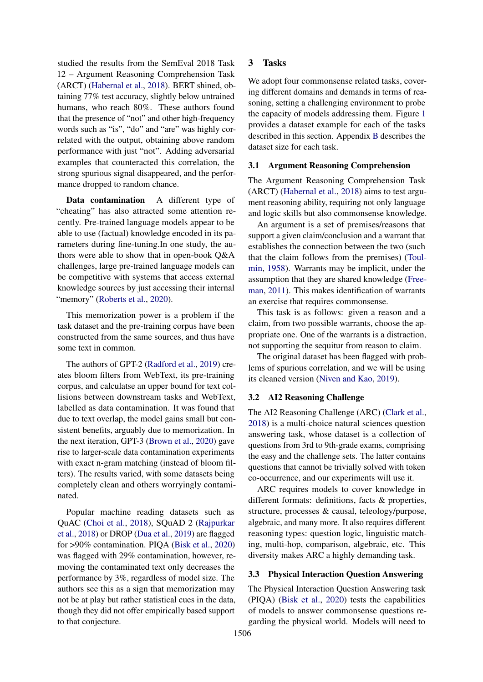studied the results from the SemEval 2018 Task 12 – Argument Reasoning Comprehension Task (ARCT) [\(Habernal et al.,](#page-9-1) [2018\)](#page-9-1). BERT shined, obtaining 77% test accuracy, slightly below untrained humans, who reach 80%. These authors found that the presence of "not" and other high-frequency words such as "is", "do" and "are" was highly correlated with the output, obtaining above random performance with just "not". Adding adversarial examples that counteracted this correlation, the strong spurious signal disappeared, and the performance dropped to random chance.

Data contamination A different type of "cheating" has also attracted some attention recently. Pre-trained language models appear to be able to use (factual) knowledge encoded in its parameters during fine-tuning.In one study, the authors were able to show that in open-book Q&A challenges, large pre-trained language models can be competitive with systems that access external knowledge sources by just accessing their internal "memory" [\(Roberts et al.,](#page-10-14) [2020\)](#page-10-14).

This memorization power is a problem if the task dataset and the pre-training corpus have been constructed from the same sources, and thus have some text in common.

The authors of GPT-2 [\(Radford et al.,](#page-10-5) [2019\)](#page-10-5) creates bloom filters from WebText, its pre-training corpus, and calculatse an upper bound for text collisions between downstream tasks and WebText, labelled as data contamination. It was found that due to text overlap, the model gains small but consistent benefits, arguably due to memorization. In the next iteration, GPT-3 [\(Brown et al.,](#page-9-9) [2020\)](#page-9-9) gave rise to larger-scale data contamination experiments with exact n-gram matching (instead of bloom filters). The results varied, with some datasets being completely clean and others worryingly contaminated.

Popular machine reading datasets such as QuAC [\(Choi et al.,](#page-9-10) [2018\)](#page-9-10), SQuAD 2 [\(Rajpurkar](#page-10-15) [et al.,](#page-10-15) [2018\)](#page-10-15) or DROP [\(Dua et al.,](#page-9-11) [2019\)](#page-9-11) are flagged for >90% contamination. PIQA [\(Bisk et al.,](#page-9-3) [2020\)](#page-9-3) was flagged with 29% contamination, however, removing the contaminated text only decreases the performance by 3%, regardless of model size. The authors see this as a sign that memorization may not be at play but rather statistical cues in the data, though they did not offer empirically based support to that conjecture.

# 3 Tasks

We adopt four commonsense related tasks, covering different domains and demands in terms of reasoning, setting a challenging environment to probe the capacity of models addressing them. Figure [1](#page-3-0) provides a dataset example for each of the tasks described in this section. Appendix [B](#page-11-10) describes the dataset size for each task.

### 3.1 Argument Reasoning Comprehension

The Argument Reasoning Comprehension Task (ARCT) [\(Habernal et al.,](#page-9-1) [2018\)](#page-9-1) aims to test argument reasoning ability, requiring not only language and logic skills but also commonsense knowledge.

An argument is a set of premises/reasons that support a given claim/conclusion and a warrant that establishes the connection between the two (such that the claim follows from the premises) [\(Toul](#page-11-11)[min,](#page-11-11) [1958\)](#page-11-11). Warrants may be implicit, under the assumption that they are shared knowledge [\(Free](#page-9-12)[man,](#page-9-12) [2011\)](#page-9-12). This makes identification of warrants an exercise that requires commonsense.

This task is as follows: given a reason and a claim, from two possible warrants, choose the appropriate one. One of the warrants is a distraction, not supporting the sequitur from reason to claim.

The original dataset has been flagged with problems of spurious correlation, and we will be using its cleaned version [\(Niven and Kao,](#page-10-2) [2019\)](#page-10-2).

### 3.2 AI2 Reasoning Challenge

The AI2 Reasoning Challenge (ARC) [\(Clark et al.,](#page-9-2) [2018\)](#page-9-2) is a multi-choice natural sciences question answering task, whose dataset is a collection of questions from 3rd to 9th-grade exams, comprising the easy and the challenge sets. The latter contains questions that cannot be trivially solved with token co-occurrence, and our experiments will use it.

ARC requires models to cover knowledge in different formats: definitions, facts & properties, structure, processes & causal, teleology/purpose, algebraic, and many more. It also requires different reasoning types: question logic, linguistic matching, multi-hop, comparison, algebraic, etc. This diversity makes ARC a highly demanding task.

#### 3.3 Physical Interaction Question Answering

The Physical Interaction Question Answering task (PIQA) [\(Bisk et al.,](#page-9-3) [2020\)](#page-9-3) tests the capabilities of models to answer commonsense questions regarding the physical world. Models will need to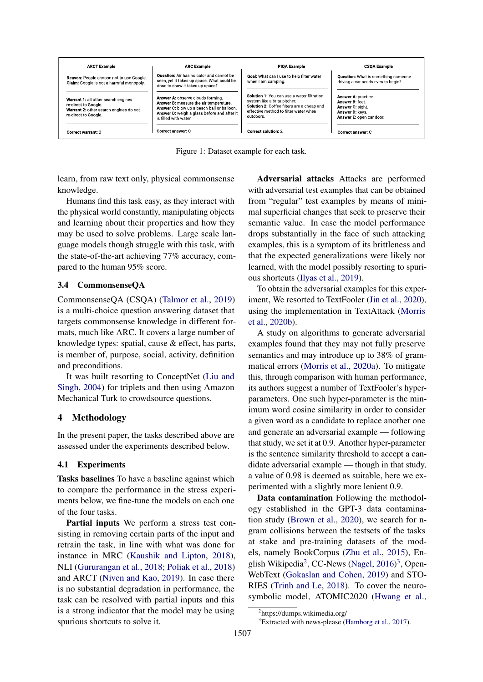<span id="page-3-0"></span>

| <b>ARCT Example</b>                                                                                                           | <b>ARC Example</b>                                                                                                                                                                                | <b>PIOA Example</b>                                                                                                                                                            | <b>CSQA Example</b>                                                                                      |
|-------------------------------------------------------------------------------------------------------------------------------|---------------------------------------------------------------------------------------------------------------------------------------------------------------------------------------------------|--------------------------------------------------------------------------------------------------------------------------------------------------------------------------------|----------------------------------------------------------------------------------------------------------|
| Reason: People choose not to use Google.<br>Claim: Google is not a harmful monopoly.                                          | Question: Air has no color and cannot be<br>seen, yet it takes up space. What could be<br>done to show it takes up space?                                                                         | Goal: What can I use to help filter water<br>when I am camping.                                                                                                                | <b>Question:</b> What is something someone<br>driving a car needs even to begin?                         |
| Warrant 1: all other search engines<br>re-direct to Google.<br>Warrant 2: other search engines do not<br>re-direct to Google. | Answer A: observe clouds forming.<br>Answer B: measure the air temperature.<br>Answer C: blow up a beach ball or balloon.<br>Answer D: weigh a glass before and after it<br>is filled with water. | Solution 1: You can use a water filtration<br>system like a brita pitcher.<br>Solution 2: Coffee filters are a cheap and<br>effective method to filter water when<br>outdoors. | Answer A: practice.<br>Answer B: feet<br>Answer C: sight.<br>Answer D: kevs.<br>Answer E: open car door. |
| Correct warrant: 2                                                                                                            | Correct answer: C                                                                                                                                                                                 | Correct solution: 2                                                                                                                                                            | Correct answer: C                                                                                        |

Figure 1: Dataset example for each task.

learn, from raw text only, physical commonsense knowledge.

Humans find this task easy, as they interact with the physical world constantly, manipulating objects and learning about their properties and how they may be used to solve problems. Large scale language models though struggle with this task, with the state-of-the-art achieving 77% accuracy, compared to the human 95% score.

# 3.4 CommonsenseQA

CommonsenseQA (CSQA) [\(Talmor et al.,](#page-11-3) [2019\)](#page-11-3) is a multi-choice question answering dataset that targets commonsense knowledge in different formats, much like ARC. It covers a large number of knowledge types: spatial, cause & effect, has parts, is member of, purpose, social, activity, definition and preconditions.

It was built resorting to ConceptNet [\(Liu and](#page-10-16) [Singh,](#page-10-16) [2004\)](#page-10-16) for triplets and then using Amazon Mechanical Turk to crowdsource questions.

# 4 Methodology

In the present paper, the tasks described above are assessed under the experiments described below.

# 4.1 Experiments

Tasks baselines To have a baseline against which to compare the performance in the stress experiments below, we fine-tune the models on each one of the four tasks.

Partial inputs We perform a stress test consisting in removing certain parts of the input and retrain the task, in line with what was done for instance in MRC [\(Kaushik and Lipton,](#page-10-12) [2018\)](#page-10-12), NLI [\(Gururangan et al.,](#page-9-7) [2018;](#page-9-7) [Poliak et al.,](#page-10-13) [2018\)](#page-10-13) and ARCT [\(Niven and Kao,](#page-10-2) [2019\)](#page-10-2). In case there is no substantial degradation in performance, the task can be resolved with partial inputs and this is a strong indicator that the model may be using spurious shortcuts to solve it.

Adversarial attacks Attacks are performed with adversarial test examples that can be obtained from "regular" test examples by means of minimal superficial changes that seek to preserve their semantic value. In case the model performance drops substantially in the face of such attacking examples, this is a symptom of its brittleness and that the expected generalizations were likely not learned, with the model possibly resorting to spurious shortcuts [\(Ilyas et al.,](#page-10-17) [2019\)](#page-10-17).

To obtain the adversarial examples for this experiment, We resorted to TextFooler [\(Jin et al.,](#page-10-18) [2020\)](#page-10-18), using the implementation in TextAttack [\(Morris](#page-10-19) [et al.,](#page-10-19) [2020b\)](#page-10-19).

A study on algorithms to generate adversarial examples found that they may not fully preserve semantics and may introduce up to 38% of grammatical errors [\(Morris et al.,](#page-10-20) [2020a\)](#page-10-20). To mitigate this, through comparison with human performance, its authors suggest a number of TextFooler's hyperparameters. One such hyper-parameter is the minimum word cosine similarity in order to consider a given word as a candidate to replace another one and generate an adversarial example — following that study, we set it at 0.9. Another hyper-parameter is the sentence similarity threshold to accept a candidate adversarial example — though in that study, a value of 0.98 is deemed as suitable, here we experimented with a slightly more lenient 0.9.

Data contamination Following the methodology established in the GPT-3 data contamination study [\(Brown et al.,](#page-9-9) [2020\)](#page-9-9), we search for ngram collisions between the testsets of the tasks at stake and pre-training datasets of the models, namely BookCorpus [\(Zhu et al.,](#page-11-12) [2015\)](#page-11-12), En-glish Wikipedia<sup>[2](#page-3-1)</sup>, CC-News [\(Nagel,](#page-10-21)  $2016$ <sup>[3](#page-3-2)</sup>, Open-WebText [\(Gokaslan and Cohen,](#page-9-13) [2019\)](#page-9-13) and STO-RIES [\(Trinh and Le,](#page-11-13) [2018\)](#page-11-13). To cover the neurosymbolic model, ATOMIC2020 [\(Hwang et al.,](#page-10-8)

<span id="page-3-1"></span><sup>2</sup> https://dumps.wikimedia.org/

<span id="page-3-2"></span><sup>3</sup>Extracted with news-please [\(Hamborg et al.,](#page-9-14) [2017\)](#page-9-14).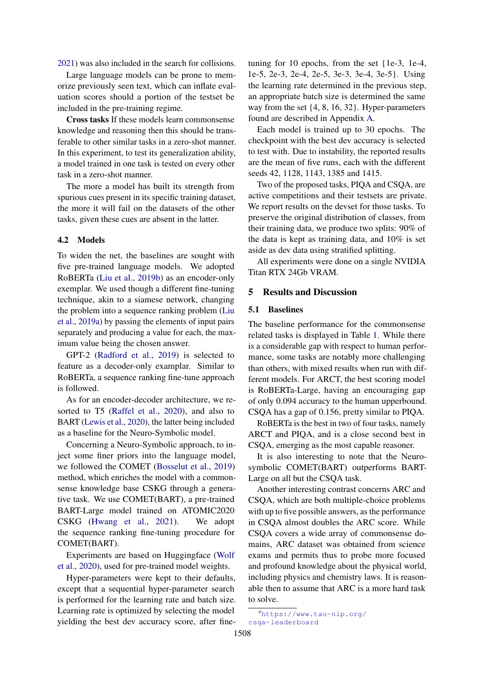[2021\)](#page-10-8) was also included in the search for collisions.

Large language models can be prone to memorize previously seen text, which can inflate evaluation scores should a portion of the testset be included in the pre-training regime.

Cross tasks If these models learn commonsense knowledge and reasoning then this should be transferable to other similar tasks in a zero-shot manner. In this experiment, to test its generalization ability, a model trained in one task is tested on every other task in a zero-shot manner.

The more a model has built its strength from spurious cues present in its specific training dataset, the more it will fail on the datasets of the other tasks, given these cues are absent in the latter.

#### 4.2 Models

To widen the net, the baselines are sought with five pre-trained language models. We adopted RoBERTa [\(Liu et al.,](#page-10-4) [2019b\)](#page-10-4) as an encoder-only exemplar. We used though a different fine-tuning technique, akin to a siamese network, changing the problem into a sequence ranking problem [\(Liu](#page-10-22) [et al.,](#page-10-22) [2019a\)](#page-10-22) by passing the elements of input pairs separately and producing a value for each, the maximum value being the chosen answer.

GPT-2 [\(Radford et al.,](#page-10-5) [2019\)](#page-10-5) is selected to feature as a decoder-only examplar. Similar to RoBERTa, a sequence ranking fine-tune approach is followed.

As for an encoder-decoder architecture, we resorted to T5 [\(Raffel et al.,](#page-10-6) [2020\)](#page-10-6), and also to BART [\(Lewis et al.,](#page-10-7) [2020\)](#page-10-7), the latter being included as a baseline for the Neuro-Symbolic model.

Concerning a Neuro-Symbolic approach, to inject some finer priors into the language model, we followed the COMET [\(Bosselut et al.,](#page-9-15) [2019\)](#page-9-15) method, which enriches the model with a commonsense knowledge base CSKG through a generative task. We use COMET(BART), a pre-trained BART-Large model trained on ATOMIC2020 CSKG [\(Hwang et al.,](#page-10-8) [2021\)](#page-10-8). We adopt the sequence ranking fine-tuning procedure for COMET(BART).

Experiments are based on Huggingface [\(Wolf](#page-11-14) [et al.,](#page-11-14) [2020\)](#page-11-14), used for pre-trained model weights.

Hyper-parameters were kept to their defaults, except that a sequential hyper-parameter search is performed for the learning rate and batch size. Learning rate is optimized by selecting the model yielding the best dev accuracy score, after finetuning for 10 epochs, from the set {1e-3, 1e-4, 1e-5, 2e-3, 2e-4, 2e-5, 3e-3, 3e-4, 3e-5}. Using the learning rate determined in the previous step, an appropriate batch size is determined the same way from the set {4, 8, 16, 32}. Hyper-parameters found are described in Appendix [A.](#page-11-15)

Each model is trained up to 30 epochs. The checkpoint with the best dev accuracy is selected to test with. Due to instability, the reported results are the mean of five runs, each with the different seeds 42, 1128, 1143, 1385 and 1415.

Two of the proposed tasks, PIQA and CSQA, are active competitions and their testsets are private. We report results on the devset for those tasks. To preserve the original distribution of classes, from their training data, we produce two splits: 90% of the data is kept as training data, and 10% is set aside as dev data using stratified splitting.

All experiments were done on a single NVIDIA Titan RTX 24Gb VRAM.

# 5 Results and Discussion

### 5.1 Baselines

The baseline performance for the commonsense related tasks is displayed in Table [1.](#page-5-0) While there is a considerable gap with respect to human performance, some tasks are notably more challenging than others, with mixed results when run with different models. For ARCT, the best scoring model is RoBERTa-Large, having an encouraging gap of only 0.094 accuracy to the human upperbound. CSQA has a gap of 0.156, pretty similar to PIQA.

RoBERTa is the best in two of four tasks, namely ARCT and PIQA, and is a close second best in CSQA, emerging as the most capable reasoner.

It is also interesting to note that the Neurosymbolic COMET(BART) outperforms BART-Large on all but the CSQA task.

Another interesting contrast concerns ARC and CSQA, which are both multiple-choice problems with up to five possible answers, as the performance in CSQA almost doubles the ARC score. While CSQA covers a wide array of commonsense domains, ARC dataset was obtained from science exams and permits thus to probe more focused and profound knowledge about the physical world, including physics and chemistry laws. It is reasonable then to assume that ARC is a more hard task to solve.

<span id="page-4-0"></span><sup>4</sup>[https://www.tau-nlp.org/](https://www.tau-nlp.org/csqa-leaderboard) [csqa-leaderboard](https://www.tau-nlp.org/csqa-leaderboard)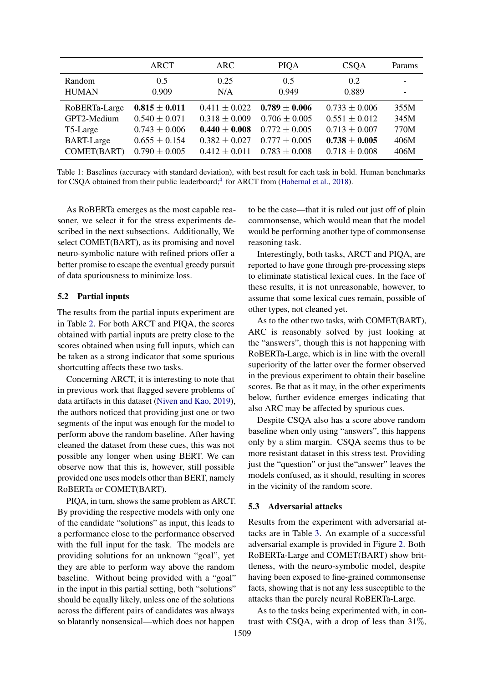<span id="page-5-0"></span>

|                   | ARCT              | ARC.              | <b>PIQA</b>       | <b>CSOA</b>       | Params |
|-------------------|-------------------|-------------------|-------------------|-------------------|--------|
| Random            | 0.5               | 0.25              | 0.5               | 0.2               |        |
| <b>HUMAN</b>      | 0.909             | N/A               | 0.949             | 0.889             |        |
| RoBERTa-Large     | $0.815 \pm 0.011$ | $0.411 \pm 0.022$ | $0.789 \pm 0.006$ | $0.733 \pm 0.006$ | 355M   |
| GPT2-Medium       | $0.540 \pm 0.071$ | $0.318 \pm 0.009$ | $0.706 \pm 0.005$ | $0.551 \pm 0.012$ | 345M   |
| T5-Large          | $0.743 \pm 0.006$ | $0.440 \pm 0.008$ | $0.772 \pm 0.005$ | $0.713 \pm 0.007$ | 770M   |
| <b>BART-Large</b> | $0.655 \pm 0.154$ | $0.382 \pm 0.027$ | $0.777 \pm 0.005$ | $0.738 \pm 0.005$ | 406M   |
| COMET(BART)       | $0.790 \pm 0.005$ | $0.412 \pm 0.011$ | $0.783 \pm 0.008$ | $0.718 \pm 0.008$ | 406M   |

Table 1: Baselines (accuracy with standard deviation), with best result for each task in bold. Human benchmarks for CSQA obtained from their public leaderboard;<sup>[4](#page-4-0)</sup> for ARCT from [\(Habernal et al.,](#page-9-1) [2018\)](#page-9-1).

As RoBERTa emerges as the most capable reasoner, we select it for the stress experiments described in the next subsections. Additionally, We select COMET(BART), as its promising and novel neuro-symbolic nature with refined priors offer a better promise to escape the eventual greedy pursuit of data spuriousness to minimize loss.

#### 5.2 Partial inputs

The results from the partial inputs experiment are in Table [2.](#page-6-0) For both ARCT and PIQA, the scores obtained with partial inputs are pretty close to the scores obtained when using full inputs, which can be taken as a strong indicator that some spurious shortcutting affects these two tasks.

Concerning ARCT, it is interesting to note that in previous work that flagged severe problems of data artifacts in this dataset [\(Niven and Kao,](#page-10-2) [2019\)](#page-10-2), the authors noticed that providing just one or two segments of the input was enough for the model to perform above the random baseline. After having cleaned the dataset from these cues, this was not possible any longer when using BERT. We can observe now that this is, however, still possible provided one uses models other than BERT, namely RoBERTa or COMET(BART).

PIQA, in turn, shows the same problem as ARCT. By providing the respective models with only one of the candidate "solutions" as input, this leads to a performance close to the performance observed with the full input for the task. The models are providing solutions for an unknown "goal", yet they are able to perform way above the random baseline. Without being provided with a "goal" in the input in this partial setting, both "solutions" should be equally likely, unless one of the solutions across the different pairs of candidates was always so blatantly nonsensical—which does not happen

to be the case—that it is ruled out just off of plain commonsense, which would mean that the model would be performing another type of commonsense reasoning task.

Interestingly, both tasks, ARCT and PIQA, are reported to have gone through pre-processing steps to eliminate statistical lexical cues. In the face of these results, it is not unreasonable, however, to assume that some lexical cues remain, possible of other types, not cleaned yet.

As to the other two tasks, with COMET(BART), ARC is reasonably solved by just looking at the "answers", though this is not happening with RoBERTa-Large, which is in line with the overall superiority of the latter over the former observed in the previous experiment to obtain their baseline scores. Be that as it may, in the other experiments below, further evidence emerges indicating that also ARC may be affected by spurious cues.

Despite CSQA also has a score above random baseline when only using "answers", this happens only by a slim margin. CSQA seems thus to be more resistant dataset in this stress test. Providing just the "question" or just the"answer" leaves the models confused, as it should, resulting in scores in the vicinity of the random score.

#### 5.3 Adversarial attacks

Results from the experiment with adversarial attacks are in Table [3.](#page-7-0) An example of a successful adversarial example is provided in Figure [2.](#page-6-1) Both RoBERTa-Large and COMET(BART) show brittleness, with the neuro-symbolic model, despite having been exposed to fine-grained commonsense facts, showing that is not any less susceptible to the attacks than the purely neural RoBERTa-Large.

As to the tasks being experimented with, in contrast with CSQA, with a drop of less than 31%,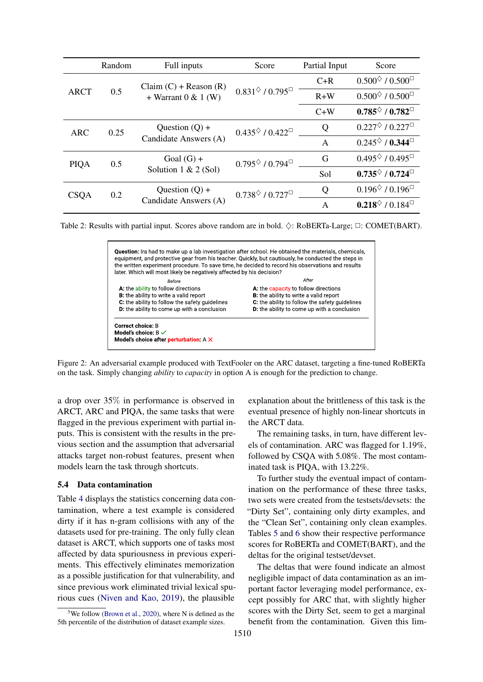<span id="page-6-0"></span>

|             | Random | Full inputs                                      | Score                                  | Partial Input | Score                                                   |
|-------------|--------|--------------------------------------------------|----------------------------------------|---------------|---------------------------------------------------------|
|             |        | $Claim (C) + Reason (R)$                         |                                        | $C+R$         | $0.500^{\diamond}$ / $0.500^{\square}$                  |
| <b>ARCT</b> | 0.5    | + Warrant $0 & 1$ (W)                            | $0.831^{\diamond}$ / $0.795^{\square}$ | $R+W$         | $0.500^{\diamond}$ / $0.500^{\square}$                  |
|             |        |                                                  |                                        | $C+W$         | $0.785^{\diamond}$ / $0.782^{\square}$                  |
| ARC         | 0.25   | Question $(Q)$ +                                 | $0.435^{\diamond}$ / $0.422^{\square}$ | Q             | $0.227^{\diamond}$ / $0.227^{\square}$                  |
|             |        | Candidate Answers (A)                            |                                        | $\mathsf{A}$  | $0.245^{\diamond}$ / 0.344 <sup><math>\Box</math></sup> |
| <b>PIQA</b> | 0.5    | Goal $(G)$ +                                     | $0.795^{\diamond}$ / $0.794^{\square}$ | G             | $0.495^{\diamond}$ / $0.495^{\square}$                  |
|             |        | Solution $1 & 2 (Sol)$                           |                                        | Sol           | $0.735^{\diamond}$ / $0.724^{\square}$                  |
| <b>CSQA</b> |        | Question $(Q)$ +<br>0.2<br>Candidate Answers (A) | $0.738^{\diamond}$ / $0.727^{\square}$ | Q             | $0.196^{\diamond}$ / $0.196^{\square}$                  |
|             |        |                                                  |                                        | $\mathsf{A}$  | $0.218^{\diamond}$ / 0.184 <sup><math>\Box</math></sup> |

<span id="page-6-1"></span>Table 2: Results with partial input. Scores above random are in bold.  $\Diamond$ : RoBERTa-Large;  $\Box$ : COMET(BART).



Figure 2: An adversarial example produced with TextFooler on the ARC dataset, targeting a fine-tuned RoBERTa on the task. Simply changing *ability* to *capacity* in option A is enough for the prediction to change.

a drop over 35% in performance is observed in ARCT, ARC and PIQA, the same tasks that were flagged in the previous experiment with partial inputs. This is consistent with the results in the previous section and the assumption that adversarial attacks target non-robust features, present when models learn the task through shortcuts.

### 5.4 Data contamination

Table [4](#page-7-1) displays the statistics concerning data contamination, where a test example is considered dirty if it has n-gram collisions with any of the datasets used for pre-training. The only fully clean dataset is ARCT, which supports one of tasks most affected by data spuriousness in previous experiments. This effectively eliminates memorization as a possible justification for that vulnerability, and since previous work eliminated trivial lexical spurious cues [\(Niven and Kao,](#page-10-2) [2019\)](#page-10-2), the plausible

1510

explanation about the brittleness of this task is the eventual presence of highly non-linear shortcuts in the ARCT data.

The remaining tasks, in turn, have different levels of contamination. ARC was flagged for 1.19%, followed by CSQA with 5.08%. The most contaminated task is PIQA, with 13.22%.

To further study the eventual impact of contamination on the performance of these three tasks, two sets were created from the testsets/devsets: the "Dirty Set", containing only dirty examples, and the "Clean Set", containing only clean examples. Tables [5](#page-7-2) and [6](#page-7-3) show their respective performance scores for RoBERTa and COMET(BART), and the deltas for the original testset/devset.

The deltas that were found indicate an almost negligible impact of data contamination as an important factor leveraging model performance, except possibly for ARC that, with slightly higher scores with the Dirty Set, seem to get a marginal benefit from the contamination. Given this lim-

<span id="page-6-2"></span><sup>&</sup>lt;sup>5</sup>We follow [\(Brown et al.,](#page-9-9) [2020\)](#page-9-9), where N is defined as the 5th percentile of the distribution of dataset example sizes.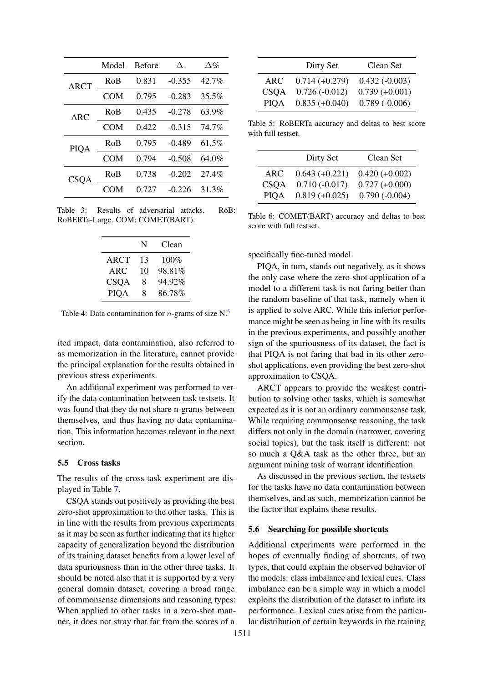<span id="page-7-0"></span>

|             | Model      | <b>Before</b> | Л        | $\Delta\%$ |
|-------------|------------|---------------|----------|------------|
| ARCT        | RoB        | 0.831         | $-0.355$ | $42.7\%$   |
|             | COM        | 0.795         | $-0.283$ | 35.5%      |
| ARC         | RoB        | 0.435         | $-0.278$ | 63.9%      |
|             | COM        | 0.422         | $-0.315$ | 74.7%      |
| PIQA        | RoB        | 0.795         | $-0.489$ | $61.5\%$   |
|             | <b>COM</b> | 0.794         | $-0.508$ | 64.0%      |
| <b>CSQA</b> | RoB        | 0.738         | $-0.202$ | 27.4%      |
|             | COM        | 0.727         | -0.226   | 31.3%      |

<span id="page-7-1"></span>Table 3: Results of adversarial attacks. RoB: RoBERTa-Large. COM: COMET(BART).

|             | N  | Clean  |
|-------------|----|--------|
| ARCT        | 13 | 100%   |
| ARC         | 10 | 98.81% |
| <b>CSOA</b> | 8  | 94.92% |
| <b>PIOA</b> | 8  | 86.78% |

Table 4: Data contamination for *n*-grams of size  $N<sup>5</sup>$  $N<sup>5</sup>$  $N<sup>5</sup>$ .

ited impact, data contamination, also referred to as memorization in the literature, cannot provide the principal explanation for the results obtained in previous stress experiments.

An additional experiment was performed to verify the data contamination between task testsets. It was found that they do not share n-grams between themselves, and thus having no data contamination. This information becomes relevant in the next section.

#### 5.5 Cross tasks

The results of the cross-task experiment are displayed in Table [7.](#page-8-0)

CSQA stands out positively as providing the best zero-shot approximation to the other tasks. This is in line with the results from previous experiments as it may be seen as further indicating that its higher capacity of generalization beyond the distribution of its training dataset benefits from a lower level of data spuriousness than in the other three tasks. It should be noted also that it is supported by a very general domain dataset, covering a broad range of commonsense dimensions and reasoning types: When applied to other tasks in a zero-shot manner, it does not stray that far from the scores of a

<span id="page-7-2"></span>

|             | Dirty Set        | Clean Set        |
|-------------|------------------|------------------|
| ARC         | $0.714 (+0.279)$ | $0.432(-0.003)$  |
| <b>CSOA</b> | $0.726(-0.012)$  | $0.739 (+0.001)$ |
| <b>PIOA</b> | $0.835 (+0.040)$ | $0.789(-0.006)$  |

Table 5: RoBERTa accuracy and deltas to best score with full testset.

<span id="page-7-3"></span>

|                     | Dirty Set                           | Clean Set                            |
|---------------------|-------------------------------------|--------------------------------------|
| ARC.<br><b>CSOA</b> | $0.643 (+0.221)$<br>$0.710(-0.017)$ | $0.420 (+0.002)$<br>$0.727 (+0.000)$ |
| <b>PIOA</b>         | $0.819 (+0.025)$                    | $0.790(-0.004)$                      |

Table 6: COMET(BART) accuracy and deltas to best score with full testset.

specifically fine-tuned model.

PIQA, in turn, stands out negatively, as it shows the only case where the zero-shot application of a model to a different task is not faring better than the random baseline of that task, namely when it is applied to solve ARC. While this inferior performance might be seen as being in line with its results in the previous experiments, and possibly another sign of the spuriousness of its dataset, the fact is that PIQA is not faring that bad in its other zeroshot applications, even providing the best zero-shot approximation to CSQA.

ARCT appears to provide the weakest contribution to solving other tasks, which is somewhat expected as it is not an ordinary commonsense task. While requiring commonsense reasoning, the task differs not only in the domain (narrower, covering social topics), but the task itself is different: not so much a Q&A task as the other three, but an argument mining task of warrant identification.

As discussed in the previous section, the testsets for the tasks have no data contamination between themselves, and as such, memorization cannot be the factor that explains these results.

#### <span id="page-7-4"></span>5.6 Searching for possible shortcuts

Additional experiments were performed in the hopes of eventually finding of shortcuts, of two types, that could explain the observed behavior of the models: class imbalance and lexical cues. Class imbalance can be a simple way in which a model exploits the distribution of the dataset to inflate its performance. Lexical cues arise from the particular distribution of certain keywords in the training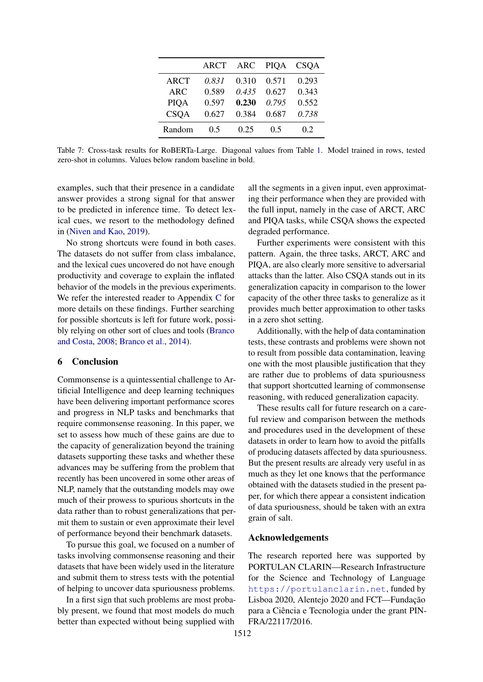|             | ARCT  | ARC   | <b>PIQA</b> | CSQA  |
|-------------|-------|-------|-------------|-------|
| <b>ARCT</b> | 0.831 | 0.310 | 0.571       | 0.293 |
| ARC         | 0.589 | 0.435 | 0.627       | 0.343 |
| <b>PIQA</b> | 0.597 | 0.230 | 0.795       | 0.552 |
| <b>CSQA</b> | 0.627 | 0.384 | 0.687       | 0.738 |
| Random      | 0.5   | 0.25  | 0.5         | 02    |

<span id="page-8-0"></span>Table 7: Cross-task results for RoBERTa-Large. Diagonal values from Table [1.](#page-5-0) Model trained in rows, tested zero-shot in columns. Values below random baseline in bold.

examples, such that their presence in a candidate answer provides a strong signal for that answer to be predicted in inference time. To detect lexical cues, we resort to the methodology defined in [\(Niven and Kao,](#page-10-2) [2019\)](#page-10-2).

No strong shortcuts were found in both cases. The datasets do not suffer from class imbalance, and the lexical cues uncovered do not have enough productivity and coverage to explain the inflated behavior of the models in the previous experiments. We refer the interested reader to Appendix [C](#page-11-16) for more details on these findings. Further searching for possible shortcuts is left for future work, possibly relying on other sort of clues and tools [\(Branco](#page-9-16) [and Costa,](#page-9-16) [2008;](#page-9-16) [Branco et al.,](#page-9-17) [2014\)](#page-9-17).

# 6 Conclusion

Commonsense is a quintessential challenge to Artificial Intelligence and deep learning techniques have been delivering important performance scores and progress in NLP tasks and benchmarks that require commonsense reasoning. In this paper, we set to assess how much of these gains are due to the capacity of generalization beyond the training datasets supporting these tasks and whether these advances may be suffering from the problem that recently has been uncovered in some other areas of NLP, namely that the outstanding models may owe much of their prowess to spurious shortcuts in the data rather than to robust generalizations that permit them to sustain or even approximate their level of performance beyond their benchmark datasets.

To pursue this goal, we focused on a number of tasks involving commonsense reasoning and their datasets that have been widely used in the literature and submit them to stress tests with the potential of helping to uncover data spuriousness problems.

In a first sign that such problems are most probably present, we found that most models do much better than expected without being supplied with all the segments in a given input, even approximating their performance when they are provided with the full input, namely in the case of ARCT, ARC and PIQA tasks, while CSQA shows the expected degraded performance.

Further experiments were consistent with this pattern. Again, the three tasks, ARCT, ARC and PIQA, are also clearly more sensitive to adversarial attacks than the latter. Also CSQA stands out in its generalization capacity in comparison to the lower capacity of the other three tasks to generalize as it provides much better approximation to other tasks in a zero shot setting.

Additionally, with the help of data contamination tests, these contrasts and problems were shown not to result from possible data contamination, leaving one with the most plausible justification that they are rather due to problems of data spuriousness that support shortcutted learning of commonsense reasoning, with reduced generalization capacity.

These results call for future research on a careful review and comparison between the methods and procedures used in the development of these datasets in order to learn how to avoid the pitfalls of producing datasets affected by data spuriousness. But the present results are already very useful in as much as they let one knows that the performance obtained with the datasets studied in the present paper, for which there appear a consistent indication of data spuriousness, should be taken with an extra grain of salt.

# Acknowledgements

The research reported here was supported by PORTULAN CLARIN—Research Infrastructure for the Science and Technology of Language <https://portulanclarin.net>, funded by Lisboa 2020, Alentejo 2020 and FCT—Fundação para a Ciência e Tecnologia under the grant PIN-FRA/22117/2016.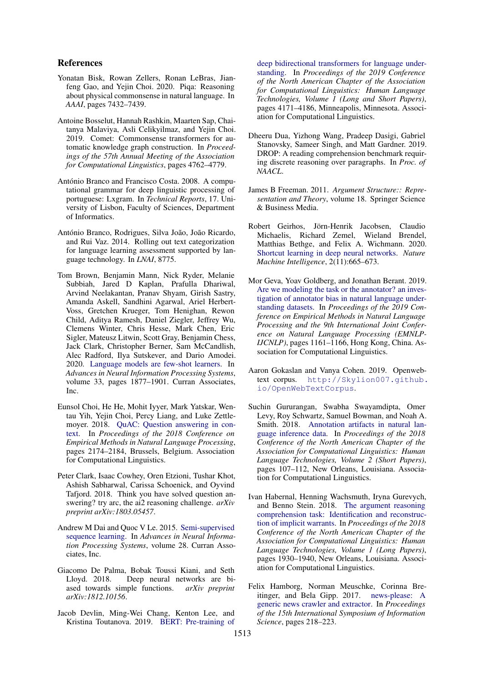# References

- <span id="page-9-3"></span>Yonatan Bisk, Rowan Zellers, Ronan LeBras, Jianfeng Gao, and Yejin Choi. 2020. Piqa: Reasoning about physical commonsense in natural language. In *AAAI*, pages 7432–7439.
- <span id="page-9-15"></span>Antoine Bosselut, Hannah Rashkin, Maarten Sap, Chaitanya Malaviya, Asli Celikyilmaz, and Yejin Choi. 2019. Comet: Commonsense transformers for automatic knowledge graph construction. In *Proceedings of the 57th Annual Meeting of the Association for Computational Linguistics*, pages 4762–4779.
- <span id="page-9-16"></span>António Branco and Francisco Costa. 2008. A computational grammar for deep linguistic processing of portuguese: Lxgram. In *Technical Reports*, 17. University of Lisbon, Faculty of Sciences, Department of Informatics.
- <span id="page-9-17"></span>António Branco, Rodrigues, Silva João, João Ricardo, and Rui Vaz. 2014. Rolling out text categorization for language learning assessment supported by language technology. In *LNAI*, 8775.
- <span id="page-9-9"></span>Tom Brown, Benjamin Mann, Nick Ryder, Melanie Subbiah, Jared D Kaplan, Prafulla Dhariwal, Arvind Neelakantan, Pranav Shyam, Girish Sastry, Amanda Askell, Sandhini Agarwal, Ariel Herbert-Voss, Gretchen Krueger, Tom Henighan, Rewon Child, Aditya Ramesh, Daniel Ziegler, Jeffrey Wu, Clemens Winter, Chris Hesse, Mark Chen, Eric Sigler, Mateusz Litwin, Scott Gray, Benjamin Chess, Jack Clark, Christopher Berner, Sam McCandlish, Alec Radford, Ilya Sutskever, and Dario Amodei. 2020. [Language models are few-shot learners.](https://proceedings.neurips.cc/paper/2020/file/1457c0d6bfcb4967418bfb8ac142f64a-Paper.pdf) In *Advances in Neural Information Processing Systems*, volume 33, pages 1877–1901. Curran Associates, Inc.
- <span id="page-9-10"></span>Eunsol Choi, He He, Mohit Iyyer, Mark Yatskar, Wentau Yih, Yejin Choi, Percy Liang, and Luke Zettlemoyer. 2018. [QuAC: Question answering in con](https://doi.org/10.18653/v1/D18-1241)[text.](https://doi.org/10.18653/v1/D18-1241) In *Proceedings of the 2018 Conference on Empirical Methods in Natural Language Processing*, pages 2174–2184, Brussels, Belgium. Association for Computational Linguistics.
- <span id="page-9-2"></span>Peter Clark, Isaac Cowhey, Oren Etzioni, Tushar Khot, Ashish Sabharwal, Carissa Schoenick, and Oyvind Tafjord. 2018. Think you have solved question answering? try arc, the ai2 reasoning challenge. *arXiv preprint arXiv:1803.05457*.
- <span id="page-9-4"></span>Andrew M Dai and Quoc V Le. 2015. [Semi-supervised](https://proceedings.neurips.cc/paper/2015/file/7137debd45ae4d0ab9aa953017286b20-Paper.pdf) [sequence learning.](https://proceedings.neurips.cc/paper/2015/file/7137debd45ae4d0ab9aa953017286b20-Paper.pdf) In *Advances in Neural Information Processing Systems*, volume 28. Curran Associates, Inc.
- <span id="page-9-6"></span>Giacomo De Palma, Bobak Toussi Kiani, and Seth Lloyd. 2018. Deep neural networks are biased towards simple functions. *arXiv preprint arXiv:1812.10156*.
- <span id="page-9-5"></span>Jacob Devlin, Ming-Wei Chang, Kenton Lee, and Kristina Toutanova. 2019. [BERT: Pre-training of](https://doi.org/10.18653/v1/N19-1423)

[deep bidirectional transformers for language under](https://doi.org/10.18653/v1/N19-1423)[standing.](https://doi.org/10.18653/v1/N19-1423) In *Proceedings of the 2019 Conference of the North American Chapter of the Association for Computational Linguistics: Human Language Technologies, Volume 1 (Long and Short Papers)*, pages 4171–4186, Minneapolis, Minnesota. Association for Computational Linguistics.

- <span id="page-9-11"></span>Dheeru Dua, Yizhong Wang, Pradeep Dasigi, Gabriel Stanovsky, Sameer Singh, and Matt Gardner. 2019. DROP: A reading comprehension benchmark requiring discrete reasoning over paragraphs. In *Proc. of NAACL*.
- <span id="page-9-12"></span>James B Freeman. 2011. *Argument Structure:: Representation and Theory*, volume 18. Springer Science & Business Media.
- <span id="page-9-0"></span>Robert Geirhos, Jörn-Henrik Jacobsen, Claudio Michaelis, Richard Zemel, Wieland Brendel, Matthias Bethge, and Felix A. Wichmann. 2020. [Shortcut learning in deep neural networks.](https://doi.org/10.1038/s42256-020-00257-z) *Nature Machine Intelligence*, 2(11):665–673.
- <span id="page-9-8"></span>Mor Geva, Yoav Goldberg, and Jonathan Berant. 2019. [Are we modeling the task or the annotator? an inves](https://doi.org/10.18653/v1/D19-1107)[tigation of annotator bias in natural language under](https://doi.org/10.18653/v1/D19-1107)[standing datasets.](https://doi.org/10.18653/v1/D19-1107) In *Proceedings of the 2019 Conference on Empirical Methods in Natural Language Processing and the 9th International Joint Conference on Natural Language Processing (EMNLP-IJCNLP)*, pages 1161–1166, Hong Kong, China. Association for Computational Linguistics.
- <span id="page-9-13"></span>Aaron Gokaslan and Vanya Cohen. 2019. Openwebtext corpus. [http://Skylion007.github.](http://Skylion007.github.io/OpenWebTextCorpus) [io/OpenWebTextCorpus](http://Skylion007.github.io/OpenWebTextCorpus).
- <span id="page-9-7"></span>Suchin Gururangan, Swabha Swayamdipta, Omer Levy, Roy Schwartz, Samuel Bowman, and Noah A. Smith. 2018. [Annotation artifacts in natural lan](https://doi.org/10.18653/v1/N18-2017)[guage inference data.](https://doi.org/10.18653/v1/N18-2017) In *Proceedings of the 2018 Conference of the North American Chapter of the Association for Computational Linguistics: Human Language Technologies, Volume 2 (Short Papers)*, pages 107–112, New Orleans, Louisiana. Association for Computational Linguistics.
- <span id="page-9-1"></span>Ivan Habernal, Henning Wachsmuth, Iryna Gurevych, and Benno Stein. 2018. [The argument reasoning](https://doi.org/10.18653/v1/N18-1175) [comprehension task: Identification and reconstruc](https://doi.org/10.18653/v1/N18-1175)[tion of implicit warrants.](https://doi.org/10.18653/v1/N18-1175) In *Proceedings of the 2018 Conference of the North American Chapter of the Association for Computational Linguistics: Human Language Technologies, Volume 1 (Long Papers)*, pages 1930–1940, New Orleans, Louisiana. Association for Computational Linguistics.
- <span id="page-9-14"></span>Felix Hamborg, Norman Meuschke, Corinna Breitinger, and Bela Gipp. 2017. [news-please: A](https://doi.org/10.5281/zenodo.4120316) [generic news crawler and extractor.](https://doi.org/10.5281/zenodo.4120316) In *Proceedings of the 15th International Symposium of Information Science*, pages 218–223.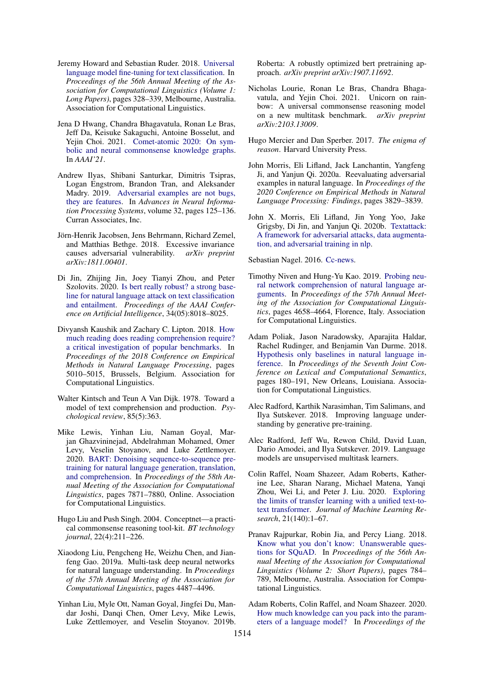- <span id="page-10-9"></span>Jeremy Howard and Sebastian Ruder. 2018. [Universal](https://doi.org/10.18653/v1/P18-1031) [language model fine-tuning for text classification.](https://doi.org/10.18653/v1/P18-1031) In *Proceedings of the 56th Annual Meeting of the Association for Computational Linguistics (Volume 1: Long Papers)*, pages 328–339, Melbourne, Australia. Association for Computational Linguistics.
- <span id="page-10-8"></span>Jena D Hwang, Chandra Bhagavatula, Ronan Le Bras, Jeff Da, Keisuke Sakaguchi, Antoine Bosselut, and Yejin Choi. 2021. [Comet-atomic 2020: On sym](https://allenai.org/data/atomic-2020)[bolic and neural commonsense knowledge graphs.](https://allenai.org/data/atomic-2020) In *AAAI'21*.
- <span id="page-10-17"></span>Andrew Ilyas, Shibani Santurkar, Dimitris Tsipras, Logan Engstrom, Brandon Tran, and Aleksander Madry. 2019. [Adversarial examples are not bugs,](https://proceedings.neurips.cc/paper/2019/file/e2c420d928d4bf8ce0ff2ec19b371514-Paper.pdf) [they are features.](https://proceedings.neurips.cc/paper/2019/file/e2c420d928d4bf8ce0ff2ec19b371514-Paper.pdf) In *Advances in Neural Information Processing Systems*, volume 32, pages 125–136. Curran Associates, Inc.
- <span id="page-10-11"></span>Jörn-Henrik Jacobsen, Jens Behrmann, Richard Zemel, and Matthias Bethge. 2018. Excessive invariance causes adversarial vulnerability. *arXiv preprint arXiv:1811.00401*.
- <span id="page-10-18"></span>Di Jin, Zhijing Jin, Joey Tianyi Zhou, and Peter Szolovits. 2020. [Is bert really robust? a strong base](https://doi.org/10.1609/aaai.v34i05.6311)[line for natural language attack on text classification](https://doi.org/10.1609/aaai.v34i05.6311) [and entailment.](https://doi.org/10.1609/aaai.v34i05.6311) *Proceedings of the AAAI Conference on Artificial Intelligence*, 34(05):8018–8025.
- <span id="page-10-12"></span>Divyansh Kaushik and Zachary C. Lipton. 2018. [How](https://doi.org/10.18653/v1/D18-1546) [much reading does reading comprehension require?](https://doi.org/10.18653/v1/D18-1546) [a critical investigation of popular benchmarks.](https://doi.org/10.18653/v1/D18-1546) In *Proceedings of the 2018 Conference on Empirical Methods in Natural Language Processing*, pages 5010–5015, Brussels, Belgium. Association for Computational Linguistics.
- <span id="page-10-0"></span>Walter Kintsch and Teun A Van Dijk. 1978. Toward a model of text comprehension and production. *Psychological review*, 85(5):363.
- <span id="page-10-7"></span>Mike Lewis, Yinhan Liu, Naman Goyal, Marjan Ghazvininejad, Abdelrahman Mohamed, Omer Levy, Veselin Stoyanov, and Luke Zettlemoyer. 2020. [BART: Denoising sequence-to-sequence pre](https://doi.org/10.18653/v1/2020.acl-main.703)[training for natural language generation, translation,](https://doi.org/10.18653/v1/2020.acl-main.703) [and comprehension.](https://doi.org/10.18653/v1/2020.acl-main.703) In *Proceedings of the 58th Annual Meeting of the Association for Computational Linguistics*, pages 7871–7880, Online. Association for Computational Linguistics.
- <span id="page-10-16"></span>Hugo Liu and Push Singh. 2004. Conceptnet—a practical commonsense reasoning tool-kit. *BT technology journal*, 22(4):211–226.
- <span id="page-10-22"></span>Xiaodong Liu, Pengcheng He, Weizhu Chen, and Jianfeng Gao. 2019a. Multi-task deep neural networks for natural language understanding. In *Proceedings of the 57th Annual Meeting of the Association for Computational Linguistics*, pages 4487–4496.
- <span id="page-10-4"></span>Yinhan Liu, Myle Ott, Naman Goyal, Jingfei Du, Mandar Joshi, Danqi Chen, Omer Levy, Mike Lewis, Luke Zettlemoyer, and Veselin Stoyanov. 2019b.

Roberta: A robustly optimized bert pretraining approach. *arXiv preprint arXiv:1907.11692*.

- <span id="page-10-3"></span>Nicholas Lourie, Ronan Le Bras, Chandra Bhagavatula, and Yejin Choi. 2021. Unicorn on rainbow: A universal commonsense reasoning model on a new multitask benchmark. *arXiv preprint arXiv:2103.13009*.
- <span id="page-10-1"></span>Hugo Mercier and Dan Sperber. 2017. *The enigma of reason*. Harvard University Press.
- <span id="page-10-20"></span>John Morris, Eli Lifland, Jack Lanchantin, Yangfeng Ji, and Yanjun Qi. 2020a. Reevaluating adversarial examples in natural language. In *Proceedings of the 2020 Conference on Empirical Methods in Natural Language Processing: Findings*, pages 3829–3839.
- <span id="page-10-19"></span>John X. Morris, Eli Lifland, Jin Yong Yoo, Jake Grigsby, Di Jin, and Yanjun Qi. 2020b. [Textattack:](http://arxiv.org/abs/2005.05909) [A framework for adversarial attacks, data augmenta](http://arxiv.org/abs/2005.05909)[tion, and adversarial training in nlp.](http://arxiv.org/abs/2005.05909)

<span id="page-10-21"></span>Sebastian Nagel. 2016. [Cc-news.](https://commoncrawl.org/2016/10/news-dataset-available/)

- <span id="page-10-2"></span>Timothy Niven and Hung-Yu Kao. 2019. [Probing neu](https://doi.org/10.18653/v1/P19-1459)[ral network comprehension of natural language ar](https://doi.org/10.18653/v1/P19-1459)[guments.](https://doi.org/10.18653/v1/P19-1459) In *Proceedings of the 57th Annual Meeting of the Association for Computational Linguistics*, pages 4658–4664, Florence, Italy. Association for Computational Linguistics.
- <span id="page-10-13"></span>Adam Poliak, Jason Naradowsky, Aparajita Haldar, Rachel Rudinger, and Benjamin Van Durme. 2018. [Hypothesis only baselines in natural language in](https://doi.org/10.18653/v1/S18-2023)[ference.](https://doi.org/10.18653/v1/S18-2023) In *Proceedings of the Seventh Joint Conference on Lexical and Computational Semantics*, pages 180–191, New Orleans, Louisiana. Association for Computational Linguistics.
- <span id="page-10-10"></span>Alec Radford, Karthik Narasimhan, Tim Salimans, and Ilya Sutskever. 2018. Improving language understanding by generative pre-training.
- <span id="page-10-5"></span>Alec Radford, Jeff Wu, Rewon Child, David Luan, Dario Amodei, and Ilya Sutskever. 2019. Language models are unsupervised multitask learners.
- <span id="page-10-6"></span>Colin Raffel, Noam Shazeer, Adam Roberts, Katherine Lee, Sharan Narang, Michael Matena, Yanqi Zhou, Wei Li, and Peter J. Liu. 2020. [Exploring](http://jmlr.org/papers/v21/20-074.html) [the limits of transfer learning with a unified text-to](http://jmlr.org/papers/v21/20-074.html)[text transformer.](http://jmlr.org/papers/v21/20-074.html) *Journal of Machine Learning Research*, 21(140):1–67.
- <span id="page-10-15"></span>Pranav Rajpurkar, Robin Jia, and Percy Liang. 2018. [Know what you don't know: Unanswerable ques](https://doi.org/10.18653/v1/P18-2124)[tions for SQuAD.](https://doi.org/10.18653/v1/P18-2124) In *Proceedings of the 56th Annual Meeting of the Association for Computational Linguistics (Volume 2: Short Papers)*, pages 784– 789, Melbourne, Australia. Association for Computational Linguistics.
- <span id="page-10-14"></span>Adam Roberts, Colin Raffel, and Noam Shazeer. 2020. [How much knowledge can you pack into the param](https://www.aclweb.org/anthology/2020.emnlp-main.437)[eters of a language model?](https://www.aclweb.org/anthology/2020.emnlp-main.437) In *Proceedings of the*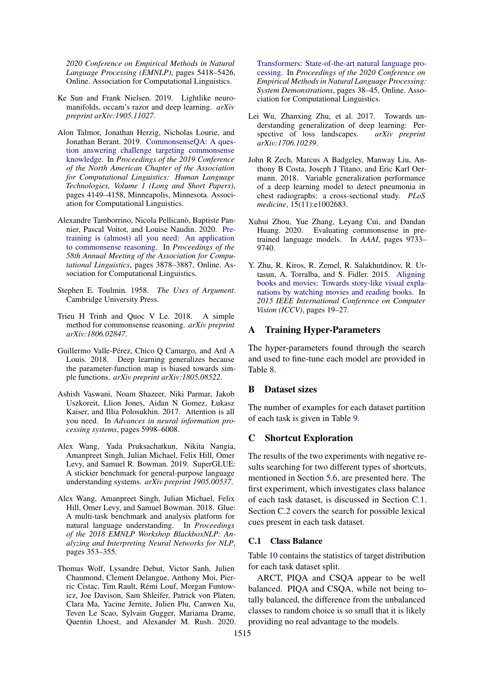*2020 Conference on Empirical Methods in Natural Language Processing (EMNLP)*, pages 5418–5426, Online. Association for Computational Linguistics.

- <span id="page-11-7"></span>Ke Sun and Frank Nielsen. 2019. Lightlike neuromanifolds, occam's razor and deep learning. *arXiv preprint arXiv:1905.11027*.
- <span id="page-11-3"></span>Alon Talmor, Jonathan Herzig, Nicholas Lourie, and Jonathan Berant. 2019. [CommonsenseQA: A ques](https://doi.org/10.18653/v1/N19-1421)[tion answering challenge targeting commonsense](https://doi.org/10.18653/v1/N19-1421) [knowledge.](https://doi.org/10.18653/v1/N19-1421) In *Proceedings of the 2019 Conference of the North American Chapter of the Association for Computational Linguistics: Human Language Technologies, Volume 1 (Long and Short Papers)*, pages 4149–4158, Minneapolis, Minnesota. Association for Computational Linguistics.
- <span id="page-11-2"></span>Alexandre Tamborrino, Nicola Pellicanò, Baptiste Pannier, Pascal Voitot, and Louise Naudin. 2020. [Pre](https://doi.org/10.18653/v1/2020.acl-main.357)[training is \(almost\) all you need: An application](https://doi.org/10.18653/v1/2020.acl-main.357) [to commonsense reasoning.](https://doi.org/10.18653/v1/2020.acl-main.357) In *Proceedings of the 58th Annual Meeting of the Association for Computational Linguistics*, pages 3878–3887, Online. Association for Computational Linguistics.
- <span id="page-11-11"></span>Stephen E. Toulmin. 1958. *The Uses of Argument*. Cambridge University Press.
- <span id="page-11-13"></span>Trieu H Trinh and Quoc V Le. 2018. A simple method for commonsense reasoning. *arXiv preprint arXiv:1806.02847*.
- <span id="page-11-8"></span>Guillermo Valle-Pérez, Chico Q Camargo, and Ard A Louis. 2018. Deep learning generalizes because the parameter-function map is biased towards simple functions. *arXiv preprint arXiv:1805.08522*.
- <span id="page-11-4"></span>Ashish Vaswani, Noam Shazeer, Niki Parmar, Jakob Uszkoreit, Llion Jones, Aidan N Gomez, Łukasz Kaiser, and Illia Polosukhin. 2017. Attention is all you need. In *Advances in neural information processing systems*, pages 5998–6008.
- <span id="page-11-6"></span>Alex Wang, Yada Pruksachatkun, Nikita Nangia, Amanpreet Singh, Julian Michael, Felix Hill, Omer Levy, and Samuel R. Bowman. 2019. SuperGLUE: A stickier benchmark for general-purpose language understanding systems. *arXiv preprint 1905.00537*.
- <span id="page-11-5"></span>Alex Wang, Amanpreet Singh, Julian Michael, Felix Hill, Omer Levy, and Samuel Bowman. 2018. Glue: A multi-task benchmark and analysis platform for natural language understanding. In *Proceedings of the 2018 EMNLP Workshop BlackboxNLP: Analyzing and Interpreting Neural Networks for NLP*, pages 353–355.
- <span id="page-11-14"></span>Thomas Wolf, Lysandre Debut, Victor Sanh, Julien Chaumond, Clement Delangue, Anthony Moi, Pierric Cistac, Tim Rault, Rémi Louf, Morgan Funtowicz, Joe Davison, Sam Shleifer, Patrick von Platen, Clara Ma, Yacine Jernite, Julien Plu, Canwen Xu, Teven Le Scao, Sylvain Gugger, Mariama Drame, Quentin Lhoest, and Alexander M. Rush. 2020.

[Transformers: State-of-the-art natural language pro](https://www.aclweb.org/anthology/2020.emnlp-demos.6)[cessing.](https://www.aclweb.org/anthology/2020.emnlp-demos.6) In *Proceedings of the 2020 Conference on Empirical Methods in Natural Language Processing: System Demonstrations*, pages 38–45, Online. Association for Computational Linguistics.

- <span id="page-11-9"></span>Lei Wu, Zhanxing Zhu, et al. 2017. Towards understanding generalization of deep learning: Perspective of loss landscapes. *arXiv preprint arXiv:1706.10239*.
- <span id="page-11-0"></span>John R Zech, Marcus A Badgeley, Manway Liu, Anthony B Costa, Joseph J Titano, and Eric Karl Oermann. 2018. Variable generalization performance of a deep learning model to detect pneumonia in chest radiographs: a cross-sectional study. *PLoS medicine*, 15(11):e1002683.
- <span id="page-11-1"></span>Xuhui Zhou, Yue Zhang, Leyang Cui, and Dandan Huang. 2020. Evaluating commonsense in pretrained language models. In *AAAI*, pages 9733– 9740.
- <span id="page-11-12"></span>Y. Zhu, R. Kiros, R. Zemel, R. Salakhutdinov, R. Urtasun, A. Torralba, and S. Fidler. 2015. [Aligning](https://doi.org/10.1109/ICCV.2015.11) [books and movies: Towards story-like visual expla](https://doi.org/10.1109/ICCV.2015.11)[nations by watching movies and reading books.](https://doi.org/10.1109/ICCV.2015.11) In *2015 IEEE International Conference on Computer Vision (ICCV)*, pages 19–27.

# <span id="page-11-15"></span>A Training Hyper-Parameters

The hyper-parameters found through the search and used to fine-tune each model are provided in Table [8.](#page-12-0)

# <span id="page-11-10"></span>B Dataset sizes

The number of examples for each dataset partition of each task is given in Table [9.](#page-12-1)

#### <span id="page-11-16"></span>C Shortcut Exploration

The results of the two experiments with negative results searching for two different types of shortcuts, mentioned in Section [5.6,](#page-7-4) are presented here. The first experiment, which investigates class balance of each task dataset, is discussed in Section [C.1.](#page-11-17) Section [C.2](#page-12-2) covers the search for possible lexical cues present in each task dataset.

#### <span id="page-11-17"></span>C.1 Class Balance

Table [10](#page-15-0) contains the statistics of target distribution for each task dataset split.

ARCT, PIQA and CSQA appear to be well balanced. PIQA and CSQA, while not being totally balanced, the difference from the unbalanced classes to random choice is so small that it is likely providing no real advantage to the models.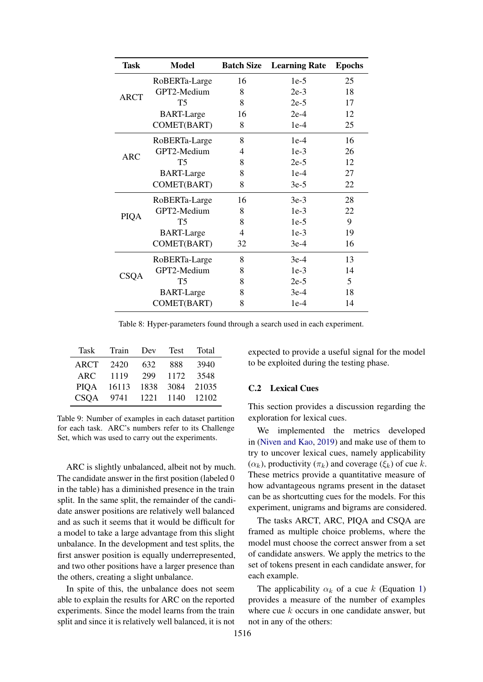<span id="page-12-0"></span>

| Task        | <b>Model</b>      | <b>Batch Size</b> | <b>Learning Rate</b> | <b>Epochs</b> |
|-------------|-------------------|-------------------|----------------------|---------------|
|             | RoBERTa-Large     | 16                | $1e-5$               | 25            |
| <b>ARCT</b> | GPT2-Medium       | 8                 | $2e-3$               | 18            |
|             | T <sub>5</sub>    | 8                 | $2e-5$               | 17            |
|             | <b>BART-Large</b> | 16                | $2e-4$               | 12            |
|             | COMET(BART)       | 8                 | $1e-4$               | 25            |
|             | RoBERTa-Large     | 8                 | $1e-4$               | 16            |
| <b>ARC</b>  | GPT2-Medium       | $\overline{4}$    | $1e-3$               | 26            |
|             | T5                | 8                 | $2e-5$               | 12            |
|             | <b>BART-Large</b> | 8                 | $1e-4$               | 27            |
|             | COMET(BART)       | 8                 | $3e-5$               | 22            |
|             | RoBERTa-Large     | 16                | $3e-3$               | 28            |
| PIQA        | GPT2-Medium       | 8                 | $1e-3$               | 22            |
|             | T5                | 8                 | $1e-5$               | 9             |
|             | <b>BART-Large</b> | 4                 | $1e-3$               | 19            |
|             | COMET(BART)       | 32                | $3e-4$               | 16            |
|             | RoBERTa-Large     | 8                 | $3e-4$               | 13            |
| <b>CSQA</b> | GPT2-Medium       | 8                 | $1e-3$               | 14            |
|             | T <sub>5</sub>    | 8                 | $2e-5$               | 5             |
|             | <b>BART-Large</b> | 8                 | $3e-4$               | 18            |
|             | COMET(BART)       | 8                 | $1e-4$               | 14            |

Table 8: Hyper-parameters found through a search used in each experiment.

<span id="page-12-1"></span>

| Task        | Train | Dev  | <b>Test</b> | Total      |
|-------------|-------|------|-------------|------------|
| ARCT        | 2420  | 632  | 888         | 3940       |
| ARC.        | 1119  | 299  | 1172        | 3548       |
| PIOA        | 16113 | 1838 | 3084        | 21035      |
| <b>CSOA</b> | 9741  | 1221 |             | 1140 12102 |

Table 9: Number of examples in each dataset partition for each task. ARC's numbers refer to its Challenge Set, which was used to carry out the experiments.

ARC is slightly unbalanced, albeit not by much. The candidate answer in the first position (labeled 0 in the table) has a diminished presence in the train split. In the same split, the remainder of the candidate answer positions are relatively well balanced and as such it seems that it would be difficult for a model to take a large advantage from this slight unbalance. In the development and test splits, the first answer position is equally underrepresented, and two other positions have a larger presence than the others, creating a slight unbalance.

In spite of this, the unbalance does not seem able to explain the results for ARC on the reported experiments. Since the model learns from the train split and since it is relatively well balanced, it is not expected to provide a useful signal for the model to be exploited during the testing phase.

#### <span id="page-12-2"></span>C.2 Lexical Cues

This section provides a discussion regarding the exploration for lexical cues.

We implemented the metrics developed in [\(Niven and Kao,](#page-10-2) [2019\)](#page-10-2) and make use of them to try to uncover lexical cues, namely applicability  $(\alpha_k)$ , productivity  $(\pi_k)$  and coverage  $(\xi_k)$  of cue k. These metrics provide a quantitative measure of how advantageous ngrams present in the dataset can be as shortcutting cues for the models. For this experiment, unigrams and bigrams are considered.

The tasks ARCT, ARC, PIQA and CSQA are framed as multiple choice problems, where the model must choose the correct answer from a set of candidate answers. We apply the metrics to the set of tokens present in each candidate answer, for each example.

The applicability  $\alpha_k$  of a cue k (Equation [1\)](#page-13-0) provides a measure of the number of examples where cue  $k$  occurs in one candidate answer, but not in any of the others: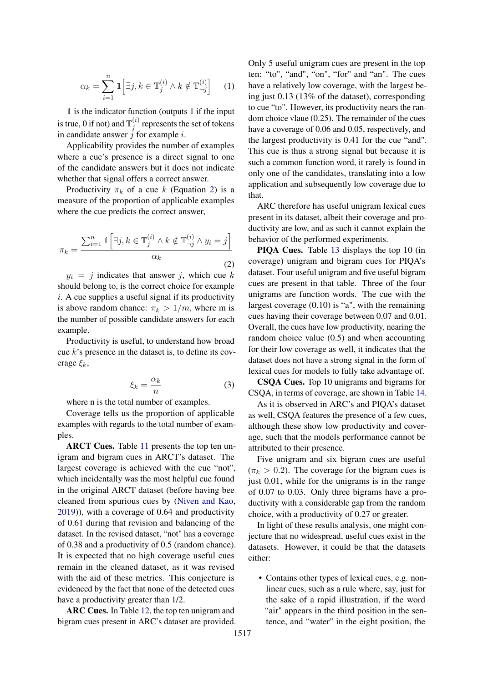<span id="page-13-0"></span>
$$
\alpha_k = \sum_{i=1}^n \mathbb{1}\left[\exists j, k \in \mathbb{T}_j^{(i)} \land k \notin \mathbb{T}_{\neg j}^{(i)}\right] \tag{1}
$$

 $\mathbbm{1}$  is the indicator function (outputs 1 if the input is true, 0 if not) and  $\mathbb{T}_i^{(i)}$  $j_j^{(i)}$  represents the set of tokens in candidate answer  $\check{j}$  for example  $i$ .

Applicability provides the number of examples where a cue's presence is a direct signal to one of the candidate answers but it does not indicate whether that signal offers a correct answer.

Productivity  $\pi_k$  of a cue k (Equation [2\)](#page-13-1) is a measure of the proportion of applicable examples where the cue predicts the correct answer,

<span id="page-13-1"></span>
$$
\pi_k = \frac{\sum_{i=1}^n \mathbb{1}\left[\exists j, k \in \mathbb{T}_j^{(i)} \land k \notin \mathbb{T}_{\neg j}^{(i)} \land y_i = j\right]}{\alpha_k} \tag{2}
$$

 $y_i = j$  indicates that answer j, which cue k should belong to, is the correct choice for example  $i.$  A cue supplies a useful signal if its productivity is above random chance:  $\pi_k > 1/m$ , where m is the number of possible candidate answers for each example.

Productivity is useful, to understand how broad cue  $k$ 's presence in the dataset is, to define its coverage  $\xi_k$ ,

$$
\xi_k = \frac{\alpha_k}{n} \tag{3}
$$

where n is the total number of examples.

Coverage tells us the proportion of applicable examples with regards to the total number of examples.

ARCT Cues. Table [11](#page-16-0) presents the top ten unigram and bigram cues in ARCT's dataset. The largest coverage is achieved with the cue "not", which incidentally was the most helpful cue found in the original ARCT dataset (before having bee cleaned from spurious cues by [\(Niven and Kao,](#page-10-2) [2019\)](#page-10-2)), with a coverage of 0.64 and productivity of 0.61 during that revision and balancing of the dataset. In the revised dataset, "not" has a coverage of 0.38 and a productivity of 0.5 (random chance). It is expected that no high coverage useful cues remain in the cleaned dataset, as it was revised with the aid of these metrics. This conjecture is evidenced by the fact that none of the detected cues have a productivity greater than 1/2.

ARC Cues. In Table [12,](#page-16-1) the top ten unigram and bigram cues present in ARC's dataset are provided. Only 5 useful unigram cues are present in the top ten: "to", "and", "on", "for" and "an". The cues have a relatively low coverage, with the largest being just 0.13 (13% of the dataset), corresponding to cue "to". However, its productivity nears the random choice vlaue (0.25). The remainder of the cues have a coverage of 0.06 and 0.05, respectively, and the largest productivity is 0.41 for the cue "and". This cue is thus a strong signal but because it is such a common function word, it rarely is found in only one of the candidates, translating into a low application and subsequently low coverage due to that.

ARC therefore has useful unigram lexical cues present in its dataset, albeit their coverage and productivity are low, and as such it cannot explain the behavior of the performed experiments.

PIQA Cues. Table [13](#page-16-2) displays the top 10 (in coverage) unigram and bigram cues for PIQA's dataset. Four useful unigram and five useful bigram cues are present in that table. Three of the four unigrams are function words. The cue with the largest coverage (0.10) is "a", with the remaining cues having their coverage between 0.07 and 0.01. Overall, the cues have low productivity, nearing the random choice value (0.5) and when accounting for their low coverage as well, it indicates that the dataset does not have a strong signal in the form of lexical cues for models to fully take advantage of.

CSQA Cues. Top 10 unigrams and bigrams for CSQA, in terms of coverage, are shown in Table [14.](#page-17-0)

As it is observed in ARC's and PIQA's dataset as well, CSQA features the presence of a few cues, although these show low productivity and coverage, such that the models performance cannot be attributed to their presence.

Five unigram and six bigram cues are useful  $(\pi_k > 0.2)$ . The coverage for the bigram cues is just 0.01, while for the unigrams is in the range of 0.07 to 0.03. Only three bigrams have a productivity with a considerable gap from the random choice, with a productivity of 0.27 or greater.

In light of these results analysis, one might conjecture that no widespread, useful cues exist in the datasets. However, it could be that the datasets either:

• Contains other types of lexical cues, e.g. nonlinear cues, such as a rule where, say, just for the sake of a rapid illustration, if the word "air" appears in the third position in the sentence, and "water" in the eight position, the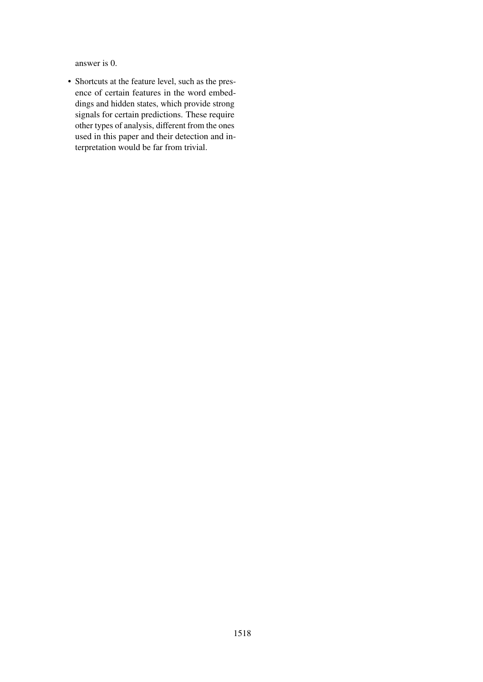answer is 0.

• Shortcuts at the feature level, such as the presence of certain features in the word embeddings and hidden states, which provide strong signals for certain predictions. These require other types of analysis, different from the ones used in this paper and their detection and interpretation would be far from trivial.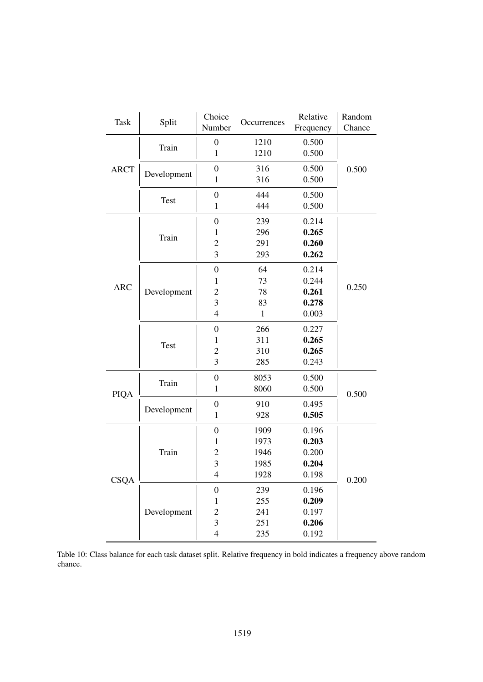<span id="page-15-0"></span>

| <b>Task</b> | Split       | Choice                  | Occurrences  | Relative  | Random |
|-------------|-------------|-------------------------|--------------|-----------|--------|
|             |             | Number                  |              | Frequency | Chance |
|             |             | $\boldsymbol{0}$        | 1210         | 0.500     |        |
|             | Train       | $\mathbf{1}$            | 1210         | 0.500     |        |
| <b>ARCT</b> |             | $\boldsymbol{0}$        | 316          | 0.500     | 0.500  |
|             | Development | $\mathbf{1}$            | 316          | 0.500     |        |
|             |             | $\boldsymbol{0}$        | 444          | 0.500     |        |
|             | <b>Test</b> | $\mathbf{1}$            | 444          | 0.500     |        |
|             |             | $\boldsymbol{0}$        | 239          | 0.214     |        |
|             |             | 1                       | 296          | 0.265     |        |
|             | Train       | $\overline{2}$          | 291          | 0.260     |        |
|             |             | 3                       | 293          | 0.262     |        |
|             |             |                         |              |           |        |
|             |             | $\boldsymbol{0}$        | 64           | 0.214     |        |
| <b>ARC</b>  | Development | 1                       | 73           | 0.244     | 0.250  |
|             |             | $\overline{2}$          | 78           | 0.261     |        |
|             |             | 3                       | 83           | 0.278     |        |
|             |             | $\overline{4}$          | $\mathbf{1}$ | 0.003     |        |
|             | Test        | $\boldsymbol{0}$        | 266          | 0.227     |        |
|             |             | 1                       | 311          | 0.265     |        |
|             |             | $\overline{2}$          | 310          | 0.265     |        |
|             |             | 3                       | 285          | 0.243     |        |
|             |             | $\boldsymbol{0}$        | 8053         | 0.500     |        |
| <b>PIQA</b> | Train       | $\mathbf{1}$            | 8060         | 0.500     | 0.500  |
|             |             | $\boldsymbol{0}$        | 910          | 0.495     |        |
|             | Development | $\mathbf{1}$            | 928          | 0.505     |        |
|             |             | $\boldsymbol{0}$        | 1909         | 0.196     |        |
|             |             | 1                       | 1973         | 0.203     |        |
|             | Train       | $\overline{c}$          | 1946         | 0.200     |        |
|             |             | 3                       | 1985         | 0.204     |        |
|             |             | $\overline{4}$          | 1928         | 0.198     | 0.200  |
| <b>CSQA</b> |             | $\boldsymbol{0}$        | 239          | 0.196     |        |
|             |             | $\mathbf{1}$            | 255          | 0.209     |        |
|             | Development | $\overline{c}$          | 241          | 0.197     |        |
|             |             | 3                       | 251          | 0.206     |        |
|             |             | $\overline{\mathbf{4}}$ | 235          | 0.192     |        |
|             |             |                         |              |           |        |

Table 10: Class balance for each task dataset split. Relative frequency in bold indicates a frequency above random chance.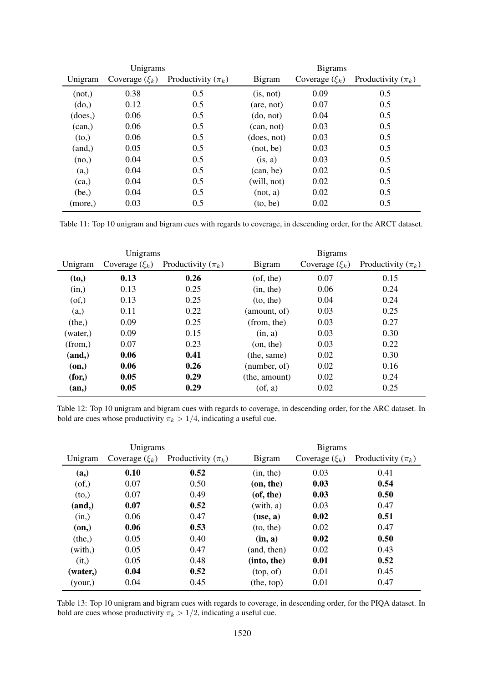<span id="page-16-0"></span>

| Unigrams |                    |                        |                            | <b>Bigrams</b>     |                        |
|----------|--------------------|------------------------|----------------------------|--------------------|------------------------|
| Unigram  | Coverage $(\xi_k)$ | Productivity $(\pi_k)$ | <b>Bigram</b>              | Coverage $(\xi_k)$ | Productivity $(\pi_k)$ |
| (not, )  | 0.38               | 0.5                    | (is, not)                  | 0.09               | 0.5                    |
| (do)     | 0.12               | 0.5                    | $(\text{are}, \text{not})$ | 0.07               | 0.5                    |
| (does,)  | 0.06               | 0.5                    | (do, not)                  | 0.04               | 0.5                    |
| (can)    | 0.06               | 0.5                    | (can, not)                 | 0.03               | 0.5                    |
| (to,)    | 0.06               | 0.5                    | (does, not)                | 0.03               | 0.5                    |
| (and,)   | 0.05               | 0.5                    | (not, be)                  | 0.03               | 0.5                    |
| (no,)    | 0.04               | 0.5                    | (is, a)                    | 0.03               | 0.5                    |
| (a, )    | 0.04               | 0.5                    | (can, be)                  | 0.02               | 0.5                    |
| (ca,)    | 0.04               | 0.5                    | (will, not)                | 0.02               | 0.5                    |
| (be, )   | 0.04               | 0.5                    | (not, a)                   | 0.02               | 0.5                    |
| (more,)  | 0.03               | 0.5                    | (to, be)                   | 0.02               | 0.5                    |

Table 11: Top 10 unigram and bigram cues with regards to coverage, in descending order, for the ARCT dataset.

<span id="page-16-1"></span>

| Unigrams |                    |                        | <b>Bigrams</b>  |                    |                        |
|----------|--------------------|------------------------|-----------------|--------------------|------------------------|
| Unigram  | Coverage $(\xi_k)$ | Productivity $(\pi_k)$ | Bigram          | Coverage $(\xi_k)$ | Productivity $(\pi_k)$ |
| (to,)    | 0.13               | 0.26                   | $($ of, the $)$ | 0.07               | 0.15                   |
| (in,)    | 0.13               | 0.25                   | (in, the)       | 0.06               | 0.24                   |
| (of,)    | 0.13               | 0.25                   | (to, the)       | 0.04               | 0.24                   |
| (a, )    | 0.11               | 0.22                   | (amount, of)    | 0.03               | 0.25                   |
| (the, )  | 0.09               | 0.25                   | (from, the)     | 0.03               | 0.27                   |
| (water,) | 0.09               | 0.15                   | (in, a)         | 0.03               | 0.30                   |
| (from,)  | 0.07               | 0.23                   | (on, the)       | 0.03               | 0.22                   |
| (and, )  | 0.06               | 0.41                   | (the, same)     | 0.02               | 0.30                   |
| (on,)    | 0.06               | 0.26                   | (number, of)    | 0.02               | 0.16                   |
| (for, )  | 0.05               | 0.29                   | (the, amount)   | 0.02               | 0.24                   |
| (an,)    | 0.05               | 0.29                   | $($ of, a $)$   | 0.02               | 0.25                   |

Table 12: Top 10 unigram and bigram cues with regards to coverage, in descending order, for the ARC dataset. In bold are cues whose productivity  $\pi_k > 1/4$ , indicating a useful cue.

<span id="page-16-2"></span>

| Unigrams |                    |                        | <b>Bigrams</b> |                    |                        |  |
|----------|--------------------|------------------------|----------------|--------------------|------------------------|--|
| Unigram  | Coverage $(\xi_k)$ | Productivity $(\pi_k)$ | <b>Bigram</b>  | Coverage $(\xi_k)$ | Productivity $(\pi_k)$ |  |
| (a, )    | 0.10               | 0.52                   | (in, the)      | 0.03               | 0.41                   |  |
| (of,)    | 0.07               | 0.50                   | (on, the)      | 0.03               | 0.54                   |  |
| (to,)    | 0.07               | 0.49                   | (of, the)      | 0.03               | 0.50                   |  |
| (and, )  | 0.07               | 0.52                   | (with, a)      | 0.03               | 0.47                   |  |
| (in,)    | 0.06               | 0.47                   | (use, a)       | 0.02               | 0.51                   |  |
| (on,)    | 0.06               | 0.53                   | (to, the)      | 0.02               | 0.47                   |  |
| (the, )  | 0.05               | 0.40                   | (in, a)        | 0.02               | 0.50                   |  |
| (with, ) | 0.05               | 0.47                   | (and, then)    | 0.02               | 0.43                   |  |
| (it.)    | 0.05               | 0.48                   | (into, the)    | 0.01               | 0.52                   |  |
| (water,) | 0.04               | 0.52                   | (top, of)      | 0.01               | 0.45                   |  |
| (your,)  | 0.04               | 0.45                   | (the, top)     | 0.01               | 0.47                   |  |

Table 13: Top 10 unigram and bigram cues with regards to coverage, in descending order, for the PIQA dataset. In bold are cues whose productivity  $\pi_k > 1/2$ , indicating a useful cue.